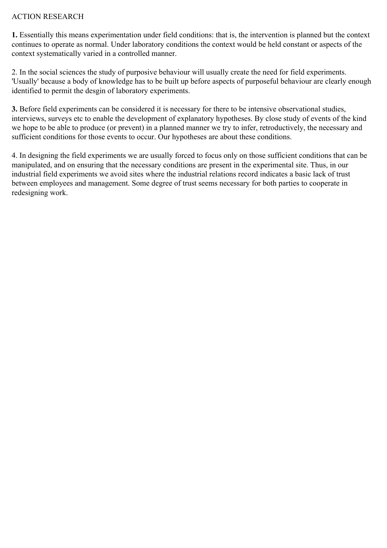## ACTION RESEARCH

**1.** Essentially this means experimentation under field conditions: that is, the intervention is planned but the context continues to operate as normal. Under laboratory conditions the context would be held constant or aspects of the context systematically varied in a controlled manner.

2. In the social sciences the study of purposive behaviour will usually create the need for field experiments. 'Usually' because a body of knowledge has to be built up before aspects of purposeful behaviour are clearly enough identified to permit the desgin of laboratory experiments.

**3.** Before field experiments can be considered it is necessary for there to be intensive observational studies, interviews, surveys etc to enable the development of explanatory hypotheses. By close study of events of the kind we hope to be able to produce (or prevent) in a planned manner we try to infer, retroductively, the necessary and sufficient conditions for those events to occur. Our hypotheses are about these conditions.

4. In designing the field experiments we are usually forced to focus only on those sufficient conditions that can be manipulated, and on ensuring that the necessary conditions are present in the experimental site. Thus, in our industrial field experiments we avoid sites where the industrial relations record indicates a basic lack of trust between employees and management. Some degree of trust seems necessary for both parties to cooperate in redesigning work.